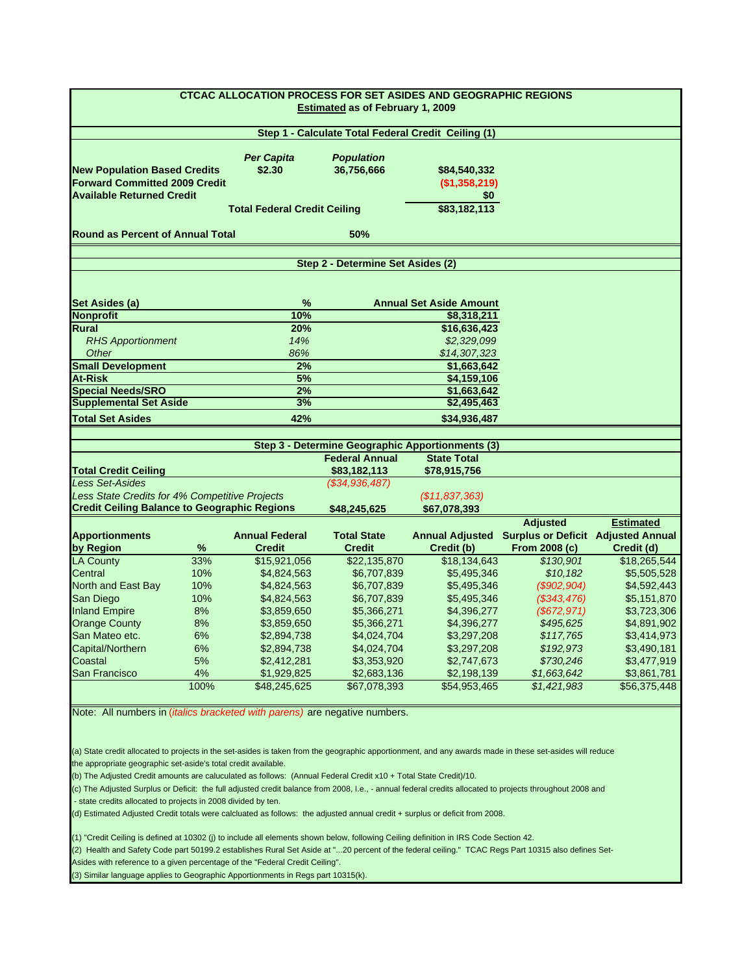| <b>CTCAC ALLOCATION PROCESS FOR SET ASIDES AND GEOGRAPHIC REGIONS</b><br><b>Estimated as of February 1, 2009</b>                                                                                                           |      |                                     |                       |                                                                        |                                           |                  |  |  |
|----------------------------------------------------------------------------------------------------------------------------------------------------------------------------------------------------------------------------|------|-------------------------------------|-----------------------|------------------------------------------------------------------------|-------------------------------------------|------------------|--|--|
|                                                                                                                                                                                                                            |      |                                     |                       | Step 1 - Calculate Total Federal Credit Ceiling (1)                    |                                           |                  |  |  |
|                                                                                                                                                                                                                            |      | <b>Per Capita</b>                   | <b>Population</b>     |                                                                        |                                           |                  |  |  |
| <b>New Population Based Credits</b>                                                                                                                                                                                        |      | \$2.30                              | 36,756,666            | \$84,540,332                                                           |                                           |                  |  |  |
| <b>Forward Committed 2009 Credit</b>                                                                                                                                                                                       |      |                                     |                       | (\$1,358,219)                                                          |                                           |                  |  |  |
| <b>Available Returned Credit</b>                                                                                                                                                                                           |      |                                     | \$0                   |                                                                        |                                           |                  |  |  |
|                                                                                                                                                                                                                            |      | <b>Total Federal Credit Ceiling</b> |                       | \$83,182,113                                                           |                                           |                  |  |  |
| <b>Round as Percent of Annual Total</b>                                                                                                                                                                                    |      |                                     | 50%                   |                                                                        |                                           |                  |  |  |
| Step 2 - Determine Set Asides (2)                                                                                                                                                                                          |      |                                     |                       |                                                                        |                                           |                  |  |  |
| Set Asides (a)                                                                                                                                                                                                             |      | %                                   |                       | <b>Annual Set Aside Amount</b>                                         |                                           |                  |  |  |
| <b>Nonprofit</b>                                                                                                                                                                                                           |      | 10%                                 |                       | \$8,318,211                                                            |                                           |                  |  |  |
| <b>Rural</b>                                                                                                                                                                                                               |      | 20%                                 |                       | \$16,636,423                                                           |                                           |                  |  |  |
| <b>RHS Apportionment</b>                                                                                                                                                                                                   |      | 14%                                 |                       | \$2,329,099                                                            |                                           |                  |  |  |
| Other                                                                                                                                                                                                                      |      | 86%                                 |                       | \$14,307,323                                                           |                                           |                  |  |  |
| <b>Small Development</b>                                                                                                                                                                                                   |      | 2%                                  |                       | \$1,663,642                                                            |                                           |                  |  |  |
| <b>At-Risk</b>                                                                                                                                                                                                             |      | 5%                                  |                       | \$4,159,106                                                            |                                           |                  |  |  |
| <b>Special Needs/SRO</b>                                                                                                                                                                                                   |      | 2%                                  |                       | \$1,663,642                                                            |                                           |                  |  |  |
| <b>Supplemental Set Aside</b>                                                                                                                                                                                              |      | 3%                                  |                       | \$2,495,463                                                            |                                           |                  |  |  |
| <b>Total Set Asides</b>                                                                                                                                                                                                    |      | 42%                                 |                       | \$34.936.487                                                           |                                           |                  |  |  |
|                                                                                                                                                                                                                            |      |                                     |                       |                                                                        |                                           |                  |  |  |
|                                                                                                                                                                                                                            |      |                                     | <b>Federal Annual</b> | Step 3 - Determine Geographic Apportionments (3)<br><b>State Total</b> |                                           |                  |  |  |
| <b>Total Credit Ceiling</b>                                                                                                                                                                                                |      |                                     | \$83,182,113          |                                                                        |                                           |                  |  |  |
| <b>Less Set-Asides</b>                                                                                                                                                                                                     |      |                                     | (\$34,936,487)        | \$78,915,756                                                           |                                           |                  |  |  |
| Less State Credits for 4% Competitive Projects                                                                                                                                                                             |      |                                     |                       | (\$11,837,363)                                                         |                                           |                  |  |  |
| <b>Credit Ceiling Balance to Geographic Regions</b>                                                                                                                                                                        |      |                                     | \$48,245,625          | \$67,078,393                                                           |                                           |                  |  |  |
|                                                                                                                                                                                                                            |      |                                     |                       |                                                                        | <b>Adjusted</b>                           | <b>Estimated</b> |  |  |
| <b>Apportionments</b>                                                                                                                                                                                                      |      | <b>Annual Federal</b>               | <b>Total State</b>    | <b>Annual Adjusted</b>                                                 | <b>Surplus or Deficit Adjusted Annual</b> |                  |  |  |
| by Region                                                                                                                                                                                                                  | ℅    | <b>Credit</b>                       | <b>Credit</b>         | Credit (b)                                                             | From 2008 (c)                             | Credit (d)       |  |  |
| <b>LA County</b>                                                                                                                                                                                                           | 33%  | \$15,921,056                        | \$22,135,870          | \$18,134,643                                                           | \$130,901                                 | \$18,265,544     |  |  |
| Central                                                                                                                                                                                                                    | 10%  | \$4,824,563                         | \$6,707,839           | \$5,495,346                                                            | \$10,182                                  | \$5,505,528      |  |  |
| North and East Bay                                                                                                                                                                                                         | 10%  | \$4,824,563                         | \$6,707,839           | \$5,495,346                                                            | (\$902,904)                               | \$4,592,443      |  |  |
| San Diego                                                                                                                                                                                                                  | 10%  | \$4,824,563                         | \$6,707,839           | \$5,495,346                                                            | (\$343,476)                               | \$5,151,870      |  |  |
| <b>Inland Empire</b>                                                                                                                                                                                                       | 8%   | \$3,859,650                         | \$5,366,271           | \$4,396,277                                                            | (\$672, 971)                              | \$3,723,306      |  |  |
| <b>Orange County</b>                                                                                                                                                                                                       | 8%   | \$3,859,650                         | \$5,366,271           | \$4,396,277                                                            | \$495,625                                 | \$4,891,902      |  |  |
| San Mateo etc.                                                                                                                                                                                                             | 6%   | \$2,894,738                         | \$4,024,704           | \$3,297,208                                                            | \$117,765                                 | \$3,414,973      |  |  |
| Capital/Northern                                                                                                                                                                                                           | 6%   | \$2,894,738                         | \$4,024,704           | \$3,297,208                                                            | \$192,973                                 | \$3,490,181      |  |  |
| Coastal                                                                                                                                                                                                                    | 5%   | \$2,412,281                         | \$3,353,920           | \$2,747,673                                                            | \$730,246                                 | \$3,477,919      |  |  |
| San Francisco                                                                                                                                                                                                              | 4%   | \$1,929,825                         | \$2,683,136           | \$2,198,139                                                            | \$1,663,642                               | \$3,861,781      |  |  |
|                                                                                                                                                                                                                            | 100% | \$48,245,625                        | \$67.078.393          | \$54,953,465                                                           | \$1,421,983                               | \$56,375,448     |  |  |
| Note: All numbers in ( <i>italics bracketed with parens</i> ) are negative numbers.                                                                                                                                        |      |                                     |                       |                                                                        |                                           |                  |  |  |
|                                                                                                                                                                                                                            |      |                                     |                       |                                                                        |                                           |                  |  |  |
|                                                                                                                                                                                                                            |      |                                     |                       |                                                                        |                                           |                  |  |  |
| (a) State credit allocated to projects in the set-asides is taken from the geographic apportionment, and any awards made in these set-asides will reduce                                                                   |      |                                     |                       |                                                                        |                                           |                  |  |  |
| the appropriate geographic set-aside's total credit available.                                                                                                                                                             |      |                                     |                       |                                                                        |                                           |                  |  |  |
| (b) The Adjusted Credit amounts are caluculated as follows: (Annual Federal Credit x10 + Total State Credit)/10.                                                                                                           |      |                                     |                       |                                                                        |                                           |                  |  |  |
| (c) The Adjusted Surplus or Deficit: the full adjusted credit balance from 2008, I.e., - annual federal credits allocated to projects throughout 2008 and<br>- state credits allocated to projects in 2008 divided by ten. |      |                                     |                       |                                                                        |                                           |                  |  |  |
| (d) Estimated Adjusted Credit totals were calcluated as follows: the adjusted annual credit + surplus or deficit from 2008.                                                                                                |      |                                     |                       |                                                                        |                                           |                  |  |  |
| (1) "Credit Ceiling is defined at 10302 (j) to include all elements shown below, following Ceiling definition in IRS Code Section 42.                                                                                      |      |                                     |                       |                                                                        |                                           |                  |  |  |

(2) Health and Safety Code part 50199.2 establishes Rural Set Aside at "...20 percent of the federal ceiling." TCAC Regs Part 10315 also defines Set-Asides with reference to a given percentage of the "Federal Credit Ceiling".

(3) Similar language applies to Geographic Apportionments in Regs part 10315(k).